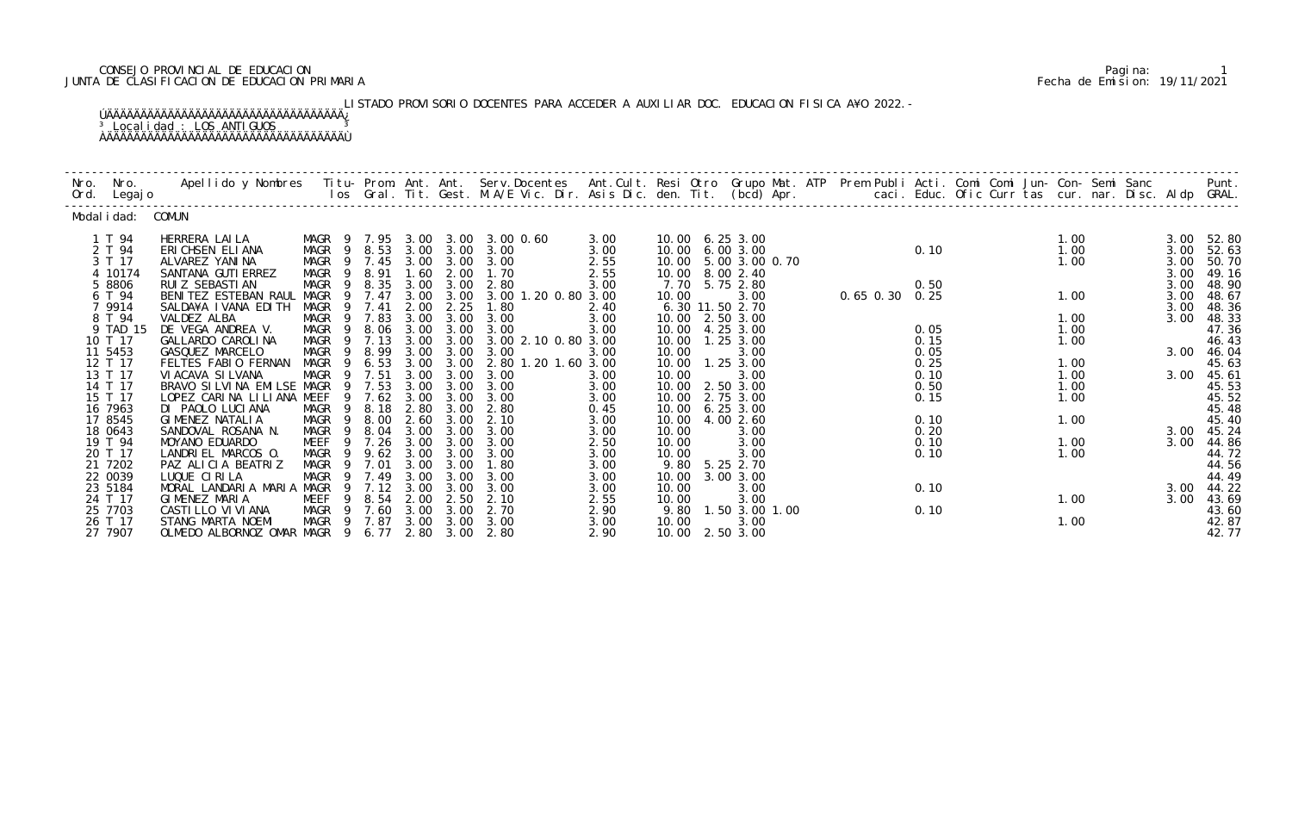# CONSEJO PROVINCIAL DE EDUCACION Pagina: 1 JUNTA DE CLASIFICACION DE EDUCACION PRIMARIA Fecha de Emision: 19/11/2021

LISTADO PROVISORIO DOCENTES PARA ACCEDER A AUXILIAR DOC. EDUCACION FISICA A¥O 2022.-ÚÄÄÄÄÄÄÄÄÄÄÄÄÄÄÄÄÄÄÄÄÄÄÄÄÄÄÄÄÄÄÄÄÄÄÄ¿

<sup>3</sup> Localidad : LOS ANTIGUOS <sup>3</sup> ÀÄÄÄÄÄÄÄÄÄÄÄÄÄÄÄÄÄÄÄÄÄÄÄÄÄÄÄÄÄÄÄÄÄÄÄÙ

| Nro. | Nro. In the New York of the New York of the United States and the United States of the New York of the New Yor<br>Ord. Legajo | Apellido y Nombres  Titu- Prom. Ant. Ant.  Serv.Docentes  Ant.Cult. Resi Otro  Grupo Mat. ATP  Prem Publi Acti. Comi Comi Jun- Con- Semi Sanc                    Punt.<br>Ios Gral. Tit. Gest. M.A/E Vic. Dir. Asis Dic. den. Tit |                                           |        |                   |                  |                                           |              |       |                                   |                        |  |              |  |      |  |              |                |
|------|-------------------------------------------------------------------------------------------------------------------------------|-----------------------------------------------------------------------------------------------------------------------------------------------------------------------------------------------------------------------------------|-------------------------------------------|--------|-------------------|------------------|-------------------------------------------|--------------|-------|-----------------------------------|------------------------|--|--------------|--|------|--|--------------|----------------|
|      | Modal i dad: COMUN                                                                                                            |                                                                                                                                                                                                                                   |                                           |        |                   |                  |                                           |              |       |                                   |                        |  |              |  |      |  |              |                |
|      | 1 T 94                                                                                                                        | HERRERA LAILA                                                                                                                                                                                                                     |                                           |        |                   |                  | MAGR 9 7.95 3.00 3.00 3.00 0.60           | 3.00         |       | 10.00 6.25 3.00                   |                        |  |              |  | 1.00 |  |              | 3.00 52.80     |
|      | 2 T 94                                                                                                                        | ERICHSEN ELIANA                                                                                                                                                                                                                   | MAGR 9 8.53                               |        |                   |                  | 3.00 3.00 3.00                            | 3.00         |       | 10.00 6.00 3.00                   |                        |  | 0.10         |  | 1.00 |  | 3.00         | 52.63          |
|      | 3 T 17<br>4 10174                                                                                                             | ALVAREZ YANINA<br>SANTANA GUTI ERREZ                                                                                                                                                                                              | MAGR 9 7.45 3.00 3.00 3.00<br>MAGR 9 8.91 |        | 1.60              |                  | 2.00 1.70                                 | 2.55         |       | 10.00 5.00 3.00 0.70              |                        |  |              |  | 1.00 |  | 3.00<br>3.00 | 50.70<br>49.16 |
|      | 5 8806                                                                                                                        | RUI Z SEBASTI AN                                                                                                                                                                                                                  | MAGR 9 8.35 3.00 3.00 2.80                |        |                   |                  |                                           | 2.55<br>3.00 |       | 10.00 8.00 2.40<br>7.70 5.75 2.80 |                        |  |              |  |      |  | 3.00         | 48.90          |
|      | 6 T 94                                                                                                                        | BENITEZ ESTEBAN RAUL MAGR 9 7.47                                                                                                                                                                                                  |                                           |        |                   |                  | 3.00 3.00 3.00 1.20 0.80 3.00             |              | 10.00 | 3.00                              | 0.50<br>0.65 0.30 0.25 |  |              |  | 1.00 |  | 3.00         | 48.67          |
|      | 7 9914                                                                                                                        | SALDA¥A IVANA EDITH                                                                                                                                                                                                               | MAGR                                      | 9 7.41 |                   | 2.00 2.25        | 1.80                                      | 2.40         |       | 6.30 11.50 2.70                   |                        |  |              |  |      |  | 3.00         | 48.36          |
|      | 8 T 94                                                                                                                        | VALDEZ ALBA                                                                                                                                                                                                                       | MAGR 9 7.83                               |        | 3.00              | 3.00             | 3.00                                      | 3.00         |       | 10.00 2.50 3.00                   |                        |  |              |  | 1.00 |  | 3.00         | 48.33          |
|      | 9 TAD 15                                                                                                                      | DE VEGA ANDREA V.                                                                                                                                                                                                                 | MAGR 9 8.06 3.00 3.00 3.00                |        |                   |                  |                                           | 3.00         |       | 10.00 4.25 3.00                   |                        |  | 0.05         |  | 1.00 |  |              | 47.36          |
|      | 10 T 17                                                                                                                       | GALLARDO CAROLINA                                                                                                                                                                                                                 |                                           |        |                   |                  | MAGR 9 7.13 3.00 3.00 3.00 2.10 0.80 3.00 |              |       | 10.00  1.25  3.00                 |                        |  | 0.15         |  | 1.00 |  |              | 46.43          |
|      | 11 5453<br>12 T 17                                                                                                            | GASQUEZ MARCELO<br>FELTES FABIO FERNAN                                                                                                                                                                                            | MAGR 9<br>MAGR 9 6.53                     | 8.99   | 3.00              | 3.00<br>3.00     | 3.00<br>2.80 1.20 1.60 3.00               | 3.00         | 10.00 | 3.00                              |                        |  | 0.05<br>0.25 |  | 1.00 |  |              | 3.00 46.04     |
|      | 13 T 17                                                                                                                       | VI ACAVA SI LVANA                                                                                                                                                                                                                 | MAGR 9 7.51                               |        | 3.00<br>3.00      | 3.00             | 3.00                                      | 3.00         | 10.00 | 10.00  1.25  3.00<br>3.00         |                        |  | 0.10         |  | 1.00 |  | 3.00         | 45.63<br>45.61 |
|      | 14 T 17                                                                                                                       | BRAVO SILVINA EMILSE MAGR 9 7.53                                                                                                                                                                                                  |                                           |        |                   |                  | 3.00 3.00 3.00                            | 3.00         |       | 10.00 2.50 3.00                   |                        |  | 0.50         |  | 1.00 |  |              | 45.53          |
|      | 15 T 17                                                                                                                       | LOPEZ CARINA LILIANA MEEF                                                                                                                                                                                                         | 9                                         | 7.62   | 3.00              | 3.00             | 3.00                                      | 3.00         |       | 10.00 2.75 3.00                   |                        |  | 0.15         |  | 1.00 |  |              | 45.52          |
|      | 16 7963                                                                                                                       | DI PAOLO LUCIANA                                                                                                                                                                                                                  | MAGR 9 8.18 2.80                          |        |                   | 3.00             | 2.80                                      | 0.45         |       | 10.00 6.25 3.00                   |                        |  |              |  |      |  |              | 45.48          |
|      | 17 8545                                                                                                                       | GIMENEZ NATALIA                                                                                                                                                                                                                   | MAGR 9 8.00                               |        | 2.60              | 3.00             | 2.10                                      | 3.00         |       | 10.00 4.00 2.60                   |                        |  | 0.10         |  | 1.00 |  |              | 45.40          |
|      | 18 0643                                                                                                                       | SANDOVAL ROSANA N.                                                                                                                                                                                                                | MAGR 9                                    |        |                   |                  | 8.04 3.00 3.00 3.00                       | 3.00         | 10.00 | 3.00                              |                        |  | 0.20         |  |      |  | 3.00         | 45.24          |
|      | 19 T 94                                                                                                                       | MOYANO EDUARDO                                                                                                                                                                                                                    | MEEF                                      | 9 7.26 | 3.00              | 3.00             | 3.00                                      | 2.50         | 10.00 | 3.00                              |                        |  | 0.10         |  | 1.00 |  | 3.00         | 44.86          |
|      | 20 T 17<br>21 7202                                                                                                            | LANDRIEL MARCOS 0.<br>PAZ ALICIA BEATRIZ                                                                                                                                                                                          | MAGR 9<br>MAGR 9 7.01                     |        | 9.62 3.00<br>3.00 | 3.00             | 3.00 3.00<br>1.80                         | 3.00<br>3.00 | 10.00 | 3.00<br>9.80 5.25 2.70            |                        |  | 0.10         |  | 1.00 |  |              | 44.72<br>44.56 |
|      | 22 0039                                                                                                                       | LUQUE CIRILA                                                                                                                                                                                                                      | MAGR                                      | 9 7.49 |                   | 3.00 3.00        | 3.00                                      | 3.00         |       | 10.00 3.00 3.00                   |                        |  |              |  |      |  |              | 44.49          |
|      | 23 5184                                                                                                                       | MORAL LANDARIA MARIA MAGR                                                                                                                                                                                                         | - 9                                       |        | $7.12 \quad 3.00$ | 3.00             | 3.00                                      | 3.00         | 10.00 | 3.00                              |                        |  | 0.10         |  |      |  | 3.00         | 44.22          |
|      | 24 T 17                                                                                                                       | GIMENEZ MARIA                                                                                                                                                                                                                     | MEEF 9 8.54 2.00 2.50 2.10                |        |                   |                  |                                           | 2.55         | 10.00 | 3.00                              |                        |  |              |  | 1.00 |  | 3.00         | 43.69          |
|      | 25 7703                                                                                                                       | CASTI LLO VI VI ANA                                                                                                                                                                                                               | MAGR 9 7.60                               |        |                   | $3.00\quad 3.00$ | 2.70                                      | 2.90         |       | 9.80 1.50 3.00 1.00               |                        |  | 0.10         |  |      |  |              | 43.60          |
|      | 26 T 17                                                                                                                       | STANG MARTA NOEMI                                                                                                                                                                                                                 | MAGR 9 7.87 3.00 3.00 3.00                |        |                   |                  |                                           | 3.00         | 10.00 | 3.00                              |                        |  |              |  | 1.00 |  |              | 42.87          |
|      | 27 7907                                                                                                                       | OLMEDO ALBORNOZ OMAR MAGR 9 6.77 2.80 3.00                                                                                                                                                                                        |                                           |        |                   |                  | 2.80                                      | 2.90         |       | 10.00 2.50 3.00                   |                        |  |              |  |      |  |              | 42.77          |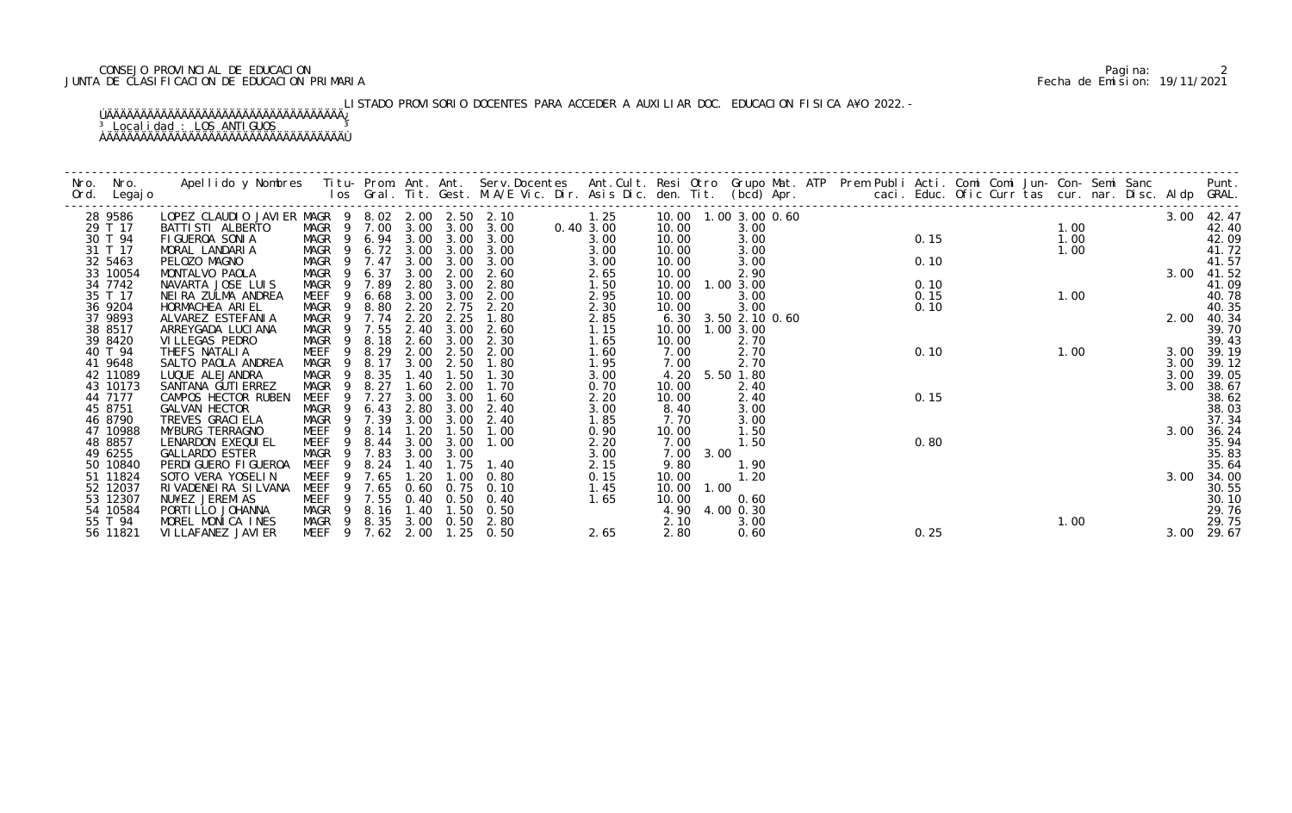# CONSEJO PROVINCIAL DE EDUCACION Pagina: 2 JUNTA DE CLASIFICACION DE EDUCACION PRIMARIA Fecha de Emision: 19/11/2021

# LISTADO PROVISORIO DOCENTES PARA ACCEDER A AUXILIAR DOC. EDUCACION FISICA A¥O 2022.-

## ÚÄÄÄÄÄÄÄÄÄÄÄÄÄÄÄÄÄÄÄÄÄÄÄÄÄÄÄÄÄÄÄÄÄÄÄ¿ <sup>3</sup> Localidad : LOS ANTIGUOS <sup>3</sup> ÀÄÄÄÄÄÄÄÄÄÄÄÄÄÄÄÄÄÄÄÄÄÄÄÄÄÄÄÄÄÄÄÄÄÄÄÙ

| Nro. | Nro. In the New York of the New York of the United States and the United States of the New York of the New Yor<br>Ord. Legajo | Apellido y Nombres Titu- Prom. Ant. Ant. Serv.Docentes Ant.Cult. Resi Otro Grupo Mat. ATP Prem Publi Acti. Comi Comi Jun- Con- Semi Sanc Punt.<br>Ios Gral. Tit. Gest. M.A/E Vic. Dir. Asis Dic. den. Tit. (bcd) Apr. |                            |            |           |           |                   |                     |                         |           |                     |  |  |      |      |      |  |      |            |
|------|-------------------------------------------------------------------------------------------------------------------------------|-----------------------------------------------------------------------------------------------------------------------------------------------------------------------------------------------------------------------|----------------------------|------------|-----------|-----------|-------------------|---------------------|-------------------------|-----------|---------------------|--|--|------|------|------|--|------|------------|
|      | 28 9586                                                                                                                       | LOPEZ CLAUDIO JAVIER MAGR 9 8.02 2.00 2.50 2.10                                                                                                                                                                       |                            |            |           |           |                   | $1.25$<br>0.40 3.00 | 10.00  1.00  3.00  0.60 |           |                     |  |  |      |      |      |  |      | 3.00 42.47 |
|      | 29 T 17                                                                                                                       | BATTI STI ALBERTO                                                                                                                                                                                                     | MAGR 9 7.00 3.00 3.00 3.00 |            |           |           |                   |                     | 10.00                   |           |                     |  |  |      |      |      |  |      | 42.40      |
|      | 30 T 94                                                                                                                       | FIGUEROA SONIA                                                                                                                                                                                                        | MAGR 9 6.94 3.00 3.00 3.00 |            |           |           |                   | 3.00                | 10.00                   |           |                     |  |  |      |      |      |  |      | 42.09      |
|      | 31 T 17                                                                                                                       | MORAL LANDARIA                                                                                                                                                                                                        | MAGR 9 6.72 3.00 3.00 3.00 |            |           |           |                   | 3.00                | 10.00                   |           |                     |  |  |      |      |      |  |      | 41.72      |
|      | 32 5463                                                                                                                       | PELOZO MAGNO                                                                                                                                                                                                          | MAGR 9 7.47 3.00 3.00 3.00 |            |           |           |                   | 3.00                | 10.00                   |           |                     |  |  |      |      |      |  |      | 41.57      |
|      | 33 10054                                                                                                                      | MONTALVO PAOLA                                                                                                                                                                                                        | MAGR 9                     | 6.37       | 3.00      | 2.00      | 2.60              | 2.65                | 10.00                   |           |                     |  |  |      |      |      |  |      | 41.52      |
|      | 34 7742                                                                                                                       | NAVARTA JOSE LUIS                                                                                                                                                                                                     | MAGR 9 7.89                |            | 2.80      | 3.00      | 2.80              | 1.50                | 10.00  1.00  3.00       |           |                     |  |  |      |      |      |  |      | 41.09      |
|      | 35 T 17                                                                                                                       | NEIRA ZULMA ANDREA                                                                                                                                                                                                    | MEEF <sub>9</sub>          | 6.68       |           | 3.00 3.00 | 2.00              | 2.95                | 10.00                   |           | 3.00                |  |  |      |      |      |  |      | 40.78      |
|      | 36 9204                                                                                                                       | HORMACHEA ARIEL                                                                                                                                                                                                       | MAGR<br>- 9                | 8.80       | 2.20      | 2.75      | 2.20              | 2.30                | 10.00                   |           |                     |  |  |      |      |      |  |      | 40.35      |
|      | 37 9893                                                                                                                       | ALVAREZ ESTEFANIA                                                                                                                                                                                                     | MAGR 9                     | 7.74       | 2.20      | 2.25      | 1.80              | 2.85                |                         |           | 6.30 3.50 2.10 0.60 |  |  |      |      |      |  | 2.00 | 40.34      |
|      | 38 8517                                                                                                                       | ARREYGADA LUCI ANA                                                                                                                                                                                                    | MAGR 9 7.55                |            | 2.40      |           | $3.00 \quad 2.60$ | 1.15                | 10.00  1.00  3.00       |           |                     |  |  |      |      |      |  |      | 39.70      |
|      | 39 8420                                                                                                                       | VI LLEGAS PEDRO                                                                                                                                                                                                       | MAGR 9 8.18                |            |           | 2.60 3.00 | 2.30              | 1.65                | 10.00                   |           | 2.70                |  |  |      |      |      |  |      | 39.43      |
|      | 40 T 94                                                                                                                       | THEFS NATALIA                                                                                                                                                                                                         | MEEF                       | 9 8.29     | 2.00      | 2.50      | 2.00              | 1.60                | 7.00                    |           | 2.70                |  |  | 0.10 | 1.00 |      |  | 3.00 | 39.19      |
|      | 41 9648                                                                                                                       | SALTO PAOLA ANDREA                                                                                                                                                                                                    | MAGR 9                     | 8.17       | 3.00      | 2.50      | 1.80              | 1.95                | 7.00                    |           | 2.70                |  |  |      |      |      |  | 3.00 | 39.12      |
|      | 42 11089                                                                                                                      | LUQUE ALEJANDRA                                                                                                                                                                                                       | MAGR                       | 9 8.35     | 1.40      | 1.50      | 1.30              | 3.00                |                         |           | 4.20 5.50 1.80      |  |  |      |      |      |  | 3.00 | 39.05      |
|      | 43 10173                                                                                                                      | SANTANA GUTI ERREZ                                                                                                                                                                                                    | MAGR<br>$\overline{9}$     | 8.27       | 1.60      | 2.00      | 1.70              | 0.70                | 10.00                   |           | 2.40                |  |  |      |      |      |  | 3.00 | 38.67      |
|      | 44 7177                                                                                                                       | CAMPOS HECTOR RUBEN                                                                                                                                                                                                   | MEEF                       | 7.27<br>-9 | 3.00      | 3.00      | 1.60              | 2.20                | 10.00                   |           | 2.40                |  |  | 0.15 |      |      |  |      | 38.62      |
|      | 45 8751                                                                                                                       | GALVAN HECTOR                                                                                                                                                                                                         | MAGR 9                     | 6.43       | 2.80      | 3.00      | 2.40              | 3.00                | 8.40                    |           | 3.00                |  |  |      |      |      |  |      | 38.03      |
|      | 46 8790                                                                                                                       | TREVES GRACI ELA                                                                                                                                                                                                      | MAGR 9 7.39                |            | 3.00      | 3.00      | 2.40              | 1.85                | 7.70                    |           | 3.00                |  |  |      |      |      |  |      | 37.34      |
|      | 47 10988                                                                                                                      | MYBURG TERRAGNO                                                                                                                                                                                                       | MEEF 9                     |            | 8.14 1.20 | 1.50      | 1.00              | 0.90                | 10.00                   |           | 1.50                |  |  |      |      |      |  | 3.00 | 36.24      |
|      | 48 8857                                                                                                                       | LENARDON EXEQUI EL                                                                                                                                                                                                    | MEEF<br>- 9                | 8.44       | 3.00      | 3.00      | 1.00              | 2.20                | 7.00                    |           | 1.50                |  |  | 0.80 |      |      |  |      | 35.94      |
|      | 49 6255                                                                                                                       | <b>GALLARDO ESTER</b>                                                                                                                                                                                                 | MAGR<br>- 9                | 7.83       | 3.00      | 3.00      |                   | 3.00                |                         | 7.00 3.00 |                     |  |  |      |      |      |  |      | 35.83      |
|      | 50 10840                                                                                                                      | PERDI GUERO FI GUEROA                                                                                                                                                                                                 | MEEF                       | 9 8.24     | 1.40      | 1.75      | 1.40              | 2.15                | 9.80                    |           | 1.90                |  |  |      |      |      |  |      | 35.64      |
|      | 51 11824                                                                                                                      | SOTO VERA YOSELIN                                                                                                                                                                                                     | MEEF                       | 9 7.65     | 1.20      | 1.00      | 0.80              | 0.15                | 10.00                   |           | 1.20                |  |  |      |      |      |  | 3.00 | 34.00      |
|      | 52 12037                                                                                                                      | RIVADENEIRA SILVANA                                                                                                                                                                                                   | MEEF                       | 7.65<br>9  | 0.60      | 0.75      | 0.10              | 1.45                | 10.00                   | 1.00      |                     |  |  |      |      |      |  |      | 30.55      |
|      | 53 12307                                                                                                                      | NU¥EZ JEREMIAS                                                                                                                                                                                                        | MEEF 9 7.55                |            |           |           | 0.40 0.50 0.40    | 1.65                | 10.00                   |           | 0.60                |  |  |      |      |      |  |      | 30.10      |
|      | 54 10584                                                                                                                      | PORTI LLO JOHANNA                                                                                                                                                                                                     | MAGR 9 8.16                |            | 1.40      | 1.50      | 0.50              |                     |                         |           | 4.90 4.00 0.30      |  |  |      |      |      |  |      | 29.76      |
|      | 55 T 94                                                                                                                       | MOREL MONICA INES                                                                                                                                                                                                     | MAGR 9 8.35 3.00 0.50 2.80 |            |           |           |                   |                     | 2.10                    |           | 3.00                |  |  |      |      | 1.00 |  |      | 29.75      |
|      | 56 11821                                                                                                                      | VI LLAFANEZ JAVI ER                                                                                                                                                                                                   | MEEF 9 7.62 2.00           |            |           | 1. 25     | 0.50              | 2.65                | 2.80                    |           | 0.60                |  |  | 0.25 |      |      |  |      | 3.00 29.67 |